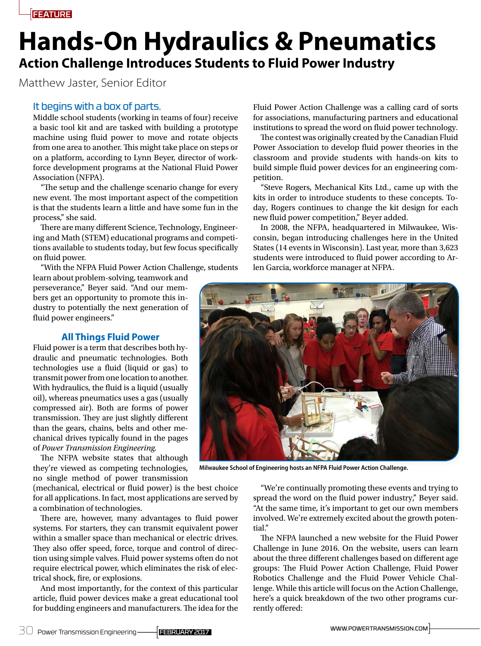# **Hands-On Hydraulics & Pneumatics Action Challenge Introduces Students to Fluid Power Industry**

Matthew Jaster, Senior Editor

# It begins with a box of parts.

Middle school students (working in teams of four) receive a basic tool kit and are tasked with building a prototype machine using fluid power to move and rotate objects from one area to another. This might take place on steps or on a platform, according to Lynn Beyer, director of workforce development programs at the National Fluid Power Association (NFPA).

"The setup and the challenge scenario change for every new event. The most important aspect of the competition is that the students learn a little and have some fun in the process," she said.

There are many different Science, Technology, Engineering and Math (STEM) educational programs and competitions available to students today, but few focus specifically on fluid power.

"With the NFPA Fluid Power Action Challenge, students learn about problem-solving, teamwork and

perseverance," Beyer said. "And our members get an opportunity to promote this industry to potentially the next generation of fluid power engineers."

# **All Things Fluid Power**

Fluid power is a term that describes both hydraulic and pneumatic technologies. Both technologies use a fluid (liquid or gas) to transmit power from one location to another. With hydraulics, the fluid is a liquid (usually oil), whereas pneumatics uses a gas (usually compressed air). Both are forms of power transmission. They are just slightly different than the gears, chains, belts and other mechanical drives typically found in the pages of *Power Transmission Engineering.*

The NFPA website states that although they're viewed as competing technologies, no single method of power transmission

(mechanical, electrical or fluid power) is the best choice for all applications. In fact, most applications are served by a combination of technologies.

There are, however, many advantages to fluid power systems. For starters, they can transmit equivalent power within a smaller space than mechanical or electric drives. They also offer speed, force, torque and control of direction using simple valves. Fluid power systems often do not require electrical power, which eliminates the risk of electrical shock, fire, or explosions.

And most importantly, for the context of this particular article, fluid power devices make a great educational tool for budding engineers and manufacturers. The idea for the Fluid Power Action Challenge was a calling card of sorts for associations, manufacturing partners and educational institutions to spread the word on fluid power technology.

The contest was originally created by the Canadian Fluid Power Association to develop fluid power theories in the classroom and provide students with hands-on kits to build simple fluid power devices for an engineering competition.

"Steve Rogers, Mechanical Kits Ltd., came up with the kits in order to introduce students to these concepts. Today, Rogers continues to change the kit design for each new fluid power competition," Beyer added.

In 2008, the NFPA, headquartered in Milwaukee, Wisconsin, began introducing challenges here in the United States (14 events in Wisconsin). Last year, more than 3,623 students were introduced to fluid power according to Arlen Garcia, workforce manager at NFPA.



**Milwaukee School of Engineering hosts an NFPA Fluid Power Action Challenge.**

"We're continually promoting these events and trying to spread the word on the fluid power industry," Beyer said. "At the same time, it's important to get our own members involved. We're extremely excited about the growth potential."

The NFPA launched a new website for the Fluid Power Challenge in June 2016. On the website, users can learn about the three different challenges based on different age groups: The Fluid Power Action Challenge, Fluid Power Robotics Challenge and the Fluid Power Vehicle Challenge. While this article will focus on the Action Challenge, here's a quick breakdown of the two other programs currently offered: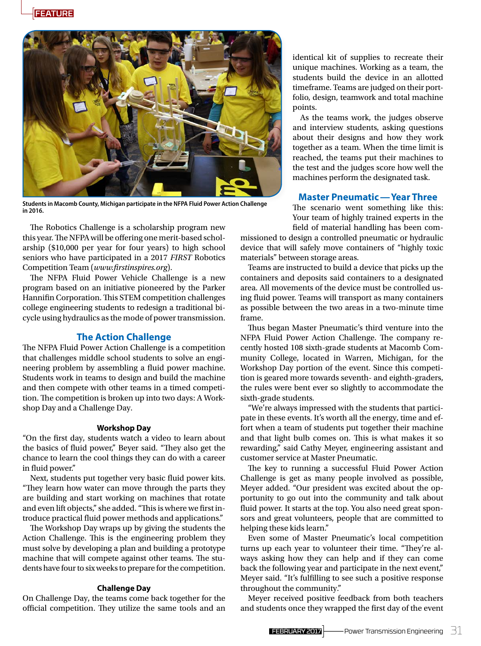

**Students in Macomb County, Michigan participate in the NFPA Fluid Power Action Challenge in 2016.**

The Robotics Challenge is a scholarship program new this year. The NFPA will be offering one merit-based scholarship (\$10,000 per year for four years) to high school seniors who have participated in a 2017 *FIRST* Robotics Competition Team (*www.firstinspires.org*).

The NFPA Fluid Power Vehicle Challenge is a new program based on an initiative pioneered by the Parker Hannifin Corporation. This STEM competition challenges college engineering students to redesign a traditional bicycle using hydraulics as the mode of power transmission.

## **The Action Challenge**

The NFPA Fluid Power Action Challenge is a competition that challenges middle school students to solve an engineering problem by assembling a fluid power machine. Students work in teams to design and build the machine and then compete with other teams in a timed competition. The competition is broken up into two days: A Workshop Day and a Challenge Day.

#### **Workshop Day**

"On the first day, students watch a video to learn about the basics of fluid power," Beyer said. "They also get the chance to learn the cool things they can do with a career in fluid power."

Next, students put together very basic fluid power kits. "They learn how water can move through the parts they are building and start working on machines that rotate and even lift objects," she added. "This is where we first introduce practical fluid power methods and applications."

The Workshop Day wraps up by giving the students the Action Challenge. This is the engineering problem they must solve by developing a plan and building a prototype machine that will compete against other teams. The students have four to six weeks to prepare for the competition.

#### **Challenge Day**

On Challenge Day, the teams come back together for the official competition. They utilize the same tools and an

identical kit of supplies to recreate their unique machines. Working as a team, the students build the device in an allotted timeframe. Teams are judged on their portfolio, design, teamwork and total machine points.

As the teams work, the judges observe and interview students, asking questions about their designs and how they work together as a team. When the time limit is reached, the teams put their machines to the test and the judges score how well the machines perform the designated task.

### **Master Pneumatic—Year Three**

The scenario went something like this: Your team of highly trained experts in the field of material handling has been com-

missioned to design a controlled pneumatic or hydraulic device that will safely move containers of "highly toxic materials" between storage areas.

Teams are instructed to build a device that picks up the containers and deposits said containers to a designated area. All movements of the device must be controlled using fluid power. Teams will transport as many containers as possible between the two areas in a two-minute time frame.

Thus began Master Pneumatic's third venture into the NFPA Fluid Power Action Challenge. The company recently hosted 108 sixth-grade students at Macomb Community College, located in Warren, Michigan, for the Workshop Day portion of the event. Since this competition is geared more towards seventh- and eighth-graders, the rules were bent ever so slightly to accommodate the sixth-grade students.

"We're always impressed with the students that participate in these events. It's worth all the energy, time and effort when a team of students put together their machine and that light bulb comes on. This is what makes it so rewarding," said Cathy Meyer, engineering assistant and customer service at Master Pneumatic.

The key to running a successful Fluid Power Action Challenge is get as many people involved as possible, Meyer added. "Our president was excited about the opportunity to go out into the community and talk about fluid power. It starts at the top. You also need great sponsors and great volunteers, people that are committed to helping these kids learn."

Even some of Master Pneumatic's local competition turns up each year to volunteer their time. "They're always asking how they can help and if they can come back the following year and participate in the next event," Meyer said. "It's fulfilling to see such a positive response throughout the community."

Meyer received positive feedback from both teachers and students once they wrapped the first day of the event